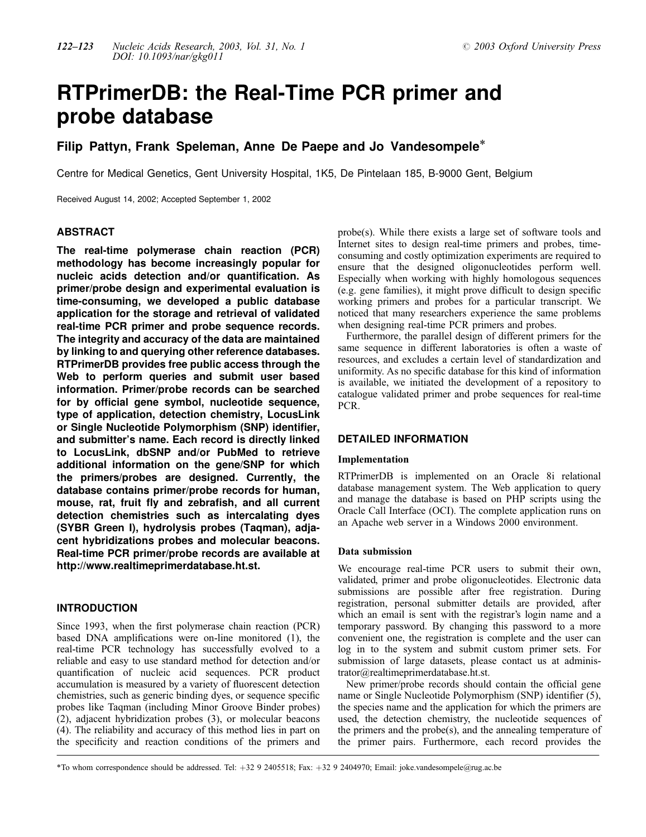# RTPrimerDB: the Real-Time PCR primer and probe database

# Filip Pattyn, Frank Speleman, Anne De Paepe and Jo Vandesompele\*

Centre for Medical Genetics, Gent University Hospital, 1K5, De Pintelaan 185, B-9000 Gent, Belgium

Received August 14, 2002; Accepted September 1, 2002

# **ABSTRACT**

The real-time polymerase chain reaction (PCR) methodology has become increasingly popular for nucleic acids detection and/or quantification. As primer/probe design and experimental evaluation is time-consuming, we developed a public database application for the storage and retrieval of validated real-time PCR primer and probe sequence records. The integrity and accuracy of the data are maintained by linking to and querying other reference databases. RTPrimerDB provides free public access through the Web to perform queries and submit user based information. Primer/probe records can be searched for by official gene symbol, nucleotide sequence, type of application, detection chemistry, LocusLink or Single Nucleotide Polymorphism (SNP) identifier, and submitter's name. Each record is directly linked to LocusLink, dbSNP and/or PubMed to retrieve additional information on the gene/SNP for which the primers/probes are designed. Currently, the database contains primer/probe records for human, mouse, rat, fruit fly and zebrafish, and all current detection chemistries such as intercalating dyes (SYBR Green I), hydrolysis probes (Taqman), adjacent hybridizations probes and molecular beacons. Real-time PCR primer/probe records are available at <http://www.realtimeprimerdatabase.ht.st.>

#### INTRODUCTION

Since 1993, when the first polymerase chain reaction (PCR) based DNA amplifications were on-line monitored (1), the real-time PCR technology has successfully evolved to a reliable and easy to use standard method for detection and/or quantification of nucleic acid sequences. PCR product accumulation is measured by a variety of fluorescent detection chemistries, such as generic binding dyes, or sequence specific probes like Taqman (including Minor Groove Binder probes) (2), adjacent hybridization probes (3), or molecular beacons (4). The reliability and accuracy of this method lies in part on the specificity and reaction conditions of the primers and probe(s). While there exists a large set of software tools and Internet sites to design real-time primers and probes, timeconsuming and costly optimization experiments are required to ensure that the designed oligonucleotides perform well. Especially when working with highly homologous sequences (e.g. gene families), it might prove difficult to design specific working primers and probes for a particular transcript. We noticed that many researchers experience the same problems when designing real-time PCR primers and probes.

Furthermore, the parallel design of different primers for the same sequence in different laboratories is often a waste of resources, and excludes a certain level of standardization and uniformity. As no specific database for this kind of information is available, we initiated the development of a repository to catalogue validated primer and probe sequences for real-time PCR.

# DETAILED INFORMATION

#### Implementation

RTPrimerDB is implemented on an Oracle 8i relational database management system. The Web application to query and manage the database is based on PHP scripts using the Oracle Call Interface (OCI). The complete application runs on an Apache web server in a Windows 2000 environment.

#### Data submission

We encourage real-time PCR users to submit their own, validated, primer and probe oligonucleotides. Electronic data submissions are possible after free registration. During registration, personal submitter details are provided, after which an email is sent with the registrar's login name and a temporary password. By changing this password to a more convenient one, the registration is complete and the user can log in to the system and submit custom primer sets. For submission of large datasets, please contact us at administrator@realtimeprimerdatabase.ht.st.

New primer/probe records should contain the official gene name or Single Nucleotide Polymorphism (SNP) identifier (5), the species name and the application for which the primers are used, the detection chemistry, the nucleotide sequences of the primers and the probe(s), and the annealing temperature of the primer pairs. Furthermore, each record provides the

\*To whom correspondence should be addressed. Tel:  $+3292405518$ ; Fax:  $+3292404970$ ; Email: joke.vandesompele@rug.ac.be